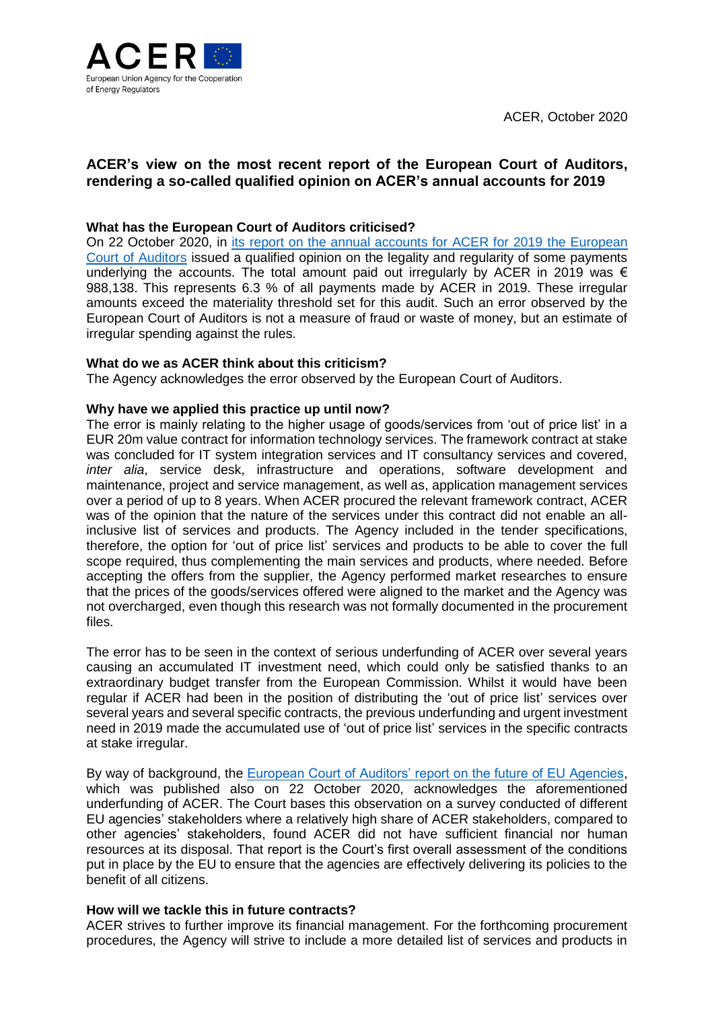ACER, October 2020



# **ACER's view on the most recent report of the European Court of Auditors, rendering a so-called qualified opinion on ACER's annual accounts for 2019**

## **What has the European Court of Auditors criticised?**

On 22 October 2020, in [its report on the annual accounts for ACER for 2019 the European](https://www.eca.europa.eu/Lists/ECADocuments/ACER_2019/ACER_2019_EN.pdf)  [Court of Auditors](https://www.eca.europa.eu/Lists/ECADocuments/ACER_2019/ACER_2019_EN.pdf) issued a qualified opinion on the legality and regularity of some payments underlying the accounts. The total amount paid out irregularly by ACER in 2019 was  $\epsilon$ 988,138. This represents 6.3 % of all payments made by ACER in 2019. These irregular amounts exceed the materiality threshold set for this audit. Such an error observed by the European Court of Auditors is not a measure of fraud or waste of money, but an estimate of irregular spending against the rules.

## **What do we as ACER think about this criticism?**

The Agency acknowledges the error observed by the European Court of Auditors.

## **Why have we applied this practice up until now?**

The error is mainly relating to the higher usage of goods/services from 'out of price list' in a EUR 20m value contract for information technology services. The framework contract at stake was concluded for IT system integration services and IT consultancy services and covered, *inter alia*, service desk, infrastructure and operations, software development and maintenance, project and service management, as well as, application management services over a period of up to 8 years. When ACER procured the relevant framework contract, ACER was of the opinion that the nature of the services under this contract did not enable an allinclusive list of services and products. The Agency included in the tender specifications, therefore, the option for 'out of price list' services and products to be able to cover the full scope required, thus complementing the main services and products, where needed. Before accepting the offers from the supplier, the Agency performed market researches to ensure that the prices of the goods/services offered were aligned to the market and the Agency was not overcharged, even though this research was not formally documented in the procurement files.

The error has to be seen in the context of serious underfunding of ACER over several years causing an accumulated IT investment need, which could only be satisfied thanks to an extraordinary budget transfer from the European Commission. Whilst it would have been regular if ACER had been in the position of distributing the 'out of price list' services over several years and several specific contracts, the previous underfunding and urgent investment need in 2019 made the accumulated use of 'out of price list' services in the specific contracts at stake irregular.

By way of background, the [European Court of Auditors' report on the future of EU Agencies,](https://www.eca.europa.eu/Lists/ECADocuments/SR20_22/SR_Future_of_EU_Agencies_EN.pdf) which was published also on 22 October 2020, acknowledges the aforementioned underfunding of ACER. The Court bases this observation on a survey conducted of different EU agencies' stakeholders where a relatively high share of ACER stakeholders, compared to other agencies' stakeholders, found ACER did not have sufficient financial nor human resources at its disposal. That report is the Court's first overall assessment of the conditions put in place by the EU to ensure that the agencies are effectively delivering its policies to the benefit of all citizens.

#### **How will we tackle this in future contracts?**

ACER strives to further improve its financial management. For the forthcoming procurement procedures, the Agency will strive to include a more detailed list of services and products in